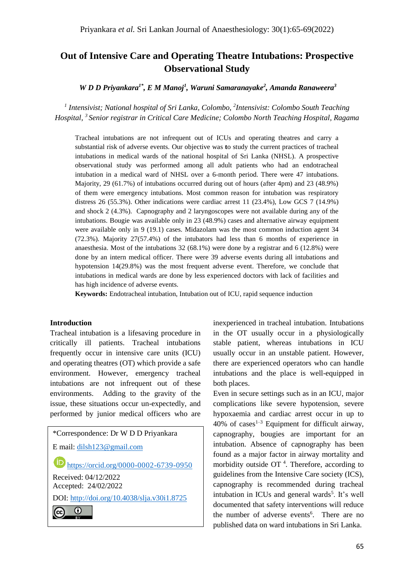# **Out of Intensive Care and Operating Theatre Intubations: Prospective Observational Study**

*W D D Priyankara1\*, E M Manoj<sup>1</sup> , Waruni Samaranayake<sup>2</sup> , Amanda Ranaweera<sup>3</sup>*

*1 Intensivist; National hospital of Sri Lanka, Colombo, 2 Intensivist: Colombo South Teaching Hospital, 3 Senior registrar in Critical Care Medicine; Colombo North Teaching Hospital, Ragama*

Tracheal intubations are not infrequent out of ICUs and operating theatres and carry a substantial risk of adverse events. Our objective was **t**o study the current practices of tracheal intubations in medical wards of the national hospital of Sri Lanka (NHSL). A prospective observational study was performed among all adult patients who had an endotracheal intubation in a medical ward of NHSL over a 6-month period. There were 47 intubations. Majority, 29 (61.7%) of intubations occurred during out of hours (after 4pm) and 23 (48.9%) of them were emergency intubations. Most common reason for intubation was respiratory distress 26 (55.3%). Other indications were cardiac arrest 11 (23.4%), Low GCS 7 (14.9%) and shock 2 (4.3%). Capnography and 2 laryngoscopes were not available during any of the intubations. Bougie was available only in 23 (48.9%) cases and alternative airway equipment were available only in 9 (19.1) cases. Midazolam was the most common induction agent 34 (72.3%). Majority 27(57.4%) of the intubators had less than 6 months of experience in anaesthesia. Most of the intubations 32 (68.1%) were done by a registrar and 6 (12.8%) were done by an intern medical officer. There were 39 adverse events during all intubations and hypotension 14(29.8%) was the most frequent adverse event. Therefore, we conclude that intubations in medical wards are done by less experienced doctors with lack of facilities and has high incidence of adverse events.

**Keywords:** Endotracheal intubation, Intubation out of ICU, rapid sequence induction

#### **Introduction**

Tracheal intubation is a lifesaving procedure in critically ill patients. Tracheal intubations frequently occur in intensive care units (ICU) and operating theatres (OT) which provide a safe environment. However, emergency tracheal intubations are not infrequent out of these environments. Adding to the gravity of the issue, these situations occur un-expectedly, and performed by junior medical officers who are

\*Correspondence: Dr W D D Priyankara E mail: [dilsh123@gmail.com](mailto:dilsh123@gmail.com) **iD** <https://orcid.org/0000-0002-6739-0950> Received: 04/12/2022 Accepted: 24/02/2022 DOI:<http://doi.org/10.4038/slja.v30i1.8725> $_{\odot}$ (cc)

inexperienced in tracheal intubation. Intubations in the OT usually occur in a physiologically stable patient, whereas intubations in ICU usually occur in an unstable patient. However, there are experienced operators who can handle intubations and the place is well-equipped in both places.

Even in secure settings such as in an ICU, major complications like severe hypotension, severe hypoxaemia and cardiac arrest occur in up to  $40\%$  of cases<sup>1-3</sup> Equipment for difficult airway, capnography, bougies are important for an intubation. Absence of capnography has been found as a major factor in airway mortality and morbidity outside OT<sup>4</sup>. Therefore, according to guidelines from the Intensive Care society (ICS), capnography is recommended during tracheal intubation in ICUs and general wards<sup>5</sup>. It's well documented that safety interventions will reduce the number of adverse events<sup>6</sup>. There are no published data on ward intubations in Sri Lanka.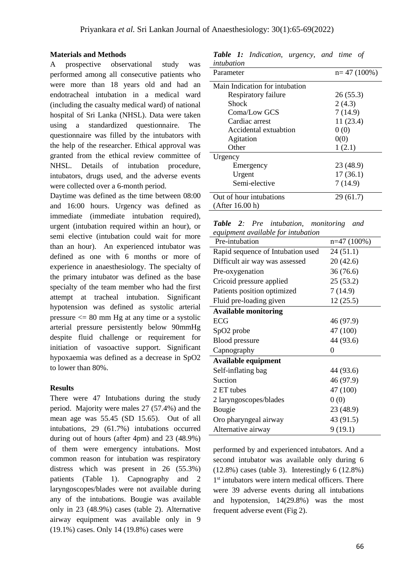#### **Materials and Methods**

A prospective observational study was performed among all consecutive patients who were more than 18 years old and had an endotracheal intubation in a medical ward (including the casualty medical ward) of national hospital of Sri Lanka (NHSL). Data were taken using a standardized questionnaire. The questionnaire was filled by the intubators with the help of the researcher. Ethical approval was granted from the ethical review committee of NHSL. Details of intubation procedure, intubators, drugs used, and the adverse events were collected over a 6-month period.

Daytime was defined as the time between 08:00 and 16:00 hours. Urgency was defined as immediate (immediate intubation required), urgent (intubation required within an hour), or semi elective (intubation could wait for more than an hour). An experienced intubator was defined as one with 6 months or more of experience in anaesthesiology. The specialty of the primary intubator was defined as the base specialty of the team member who had the first attempt at tracheal intubation. Significant hypotension was defined as systolic arterial pressure  $\leq$  80 mm Hg at any time or a systolic arterial pressure persistently below 90mmHg despite fluid challenge or requirement for initiation of vasoactive support. Significant hypoxaemia was defined as a decrease in SpO2 to lower than 80%.

#### **Results**

There were 47 Intubations during the study period. Majority were males 27 (57.4%) and the mean age was 55.45 (SD 15.65). Out of all intubations, 29 (61.7%) intubations occurred during out of hours (after 4pm) and 23 (48.9%) of them were emergency intubations. Most common reason for intubation was respiratory distress which was present in 26 (55.3%) patients (Table 1). Capnography and 2 laryngoscopes/blades were not available during any of the intubations. Bougie was available only in 23 (48.9%) cases (table 2). Alternative airway equipment was available only in 9 (19.1%) cases. Only 14 (19.8%) cases were

*Table 1: Indication, urgency, and time of intubation* 

| Parameter                      | $n=47(100\%)$ |
|--------------------------------|---------------|
| Main Indication for intubation |               |
| Respiratory failure            | 26(55.3)      |
| Shock                          | 2(4.3)        |
| Coma/Low GCS                   | 7(14.9)       |
| Cardiac arrest                 | 11(23.4)      |
| Accidental extuabtion          | 0(0)          |
| Agitation                      | 0(0)          |
| Other                          | 1(2.1)        |
| Urgency                        |               |
| Emergency                      | 23 (48.9)     |
| Urgent                         | 17(36.1)      |
| Semi-elective                  | 7(14.9)       |
| Out of hour intubations        | 29(61.7)      |
| (After 16.00 h)                |               |

|                                    |  |  |  | <b>Table 2:</b> Pre intubation, monitoring and |  |
|------------------------------------|--|--|--|------------------------------------------------|--|
| equipment available for intubation |  |  |  |                                                |  |

| Pre-intubation                    | $n=47(100\%)$ |
|-----------------------------------|---------------|
| Rapid sequence of Intubation used | 24(51.1)      |
| Difficult air way was assessed    | 20(42.6)      |
| Pre-oxygenation                   | 36 (76.6)     |
| Cricoid pressure applied          | 25(53.2)      |
| Patients position optimized       | 7(14.9)       |
| Fluid pre-loading given           | 12(25.5)      |
| <b>Available monitoring</b>       |               |
| ECG                               | 46 (97.9)     |
| SpO2 probe                        | 47 (100)      |
| <b>Blood</b> pressure             | 44 (93.6)     |
| Capnography                       | 0             |
| <b>Available equipment</b>        |               |
| Self-inflating bag                | 44 (93.6)     |
| Suction                           | 46 (97.9)     |
| 2 ET tubes                        | 47 (100)      |
| 2 laryngoscopes/blades            | 0(0)          |
| Bougie                            | 23 (48.9)     |
| Oro pharyngeal airway             | 43 (91.5)     |
| Alternative airway                | 9(19.1)       |
|                                   |               |

performed by and experienced intubators. And a second intubator was available only during 6  $(12.8\%)$  cases (table 3). Interestingly 6  $(12.8\%)$ 1<sup>st</sup> intubators were intern medical officers. There were 39 adverse events during all intubations and hypotension, 14(29.8%) was the most frequent adverse event (Fig 2).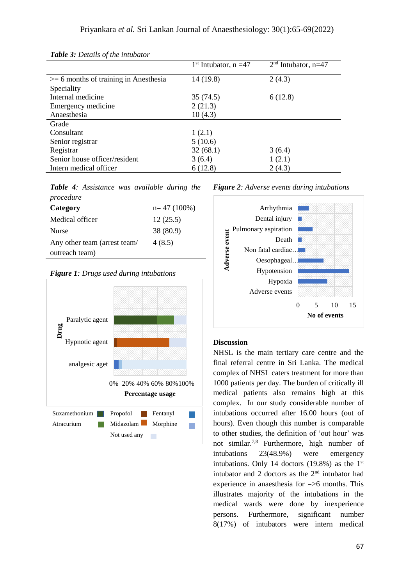|                                           | $1st$ Intubator, n =47 | $2nd$ Intubator, n=47 |
|-------------------------------------------|------------------------|-----------------------|
| $\geq$ 6 months of training in Anesthesia | 14 (19.8)              | 2(4.3)                |
| Speciality                                |                        |                       |
| Internal medicine                         | 35 (74.5)              | 6(12.8)               |
| Emergency medicine                        | 2(21.3)                |                       |
| Anaesthesia                               | 10(4.3)                |                       |
| Grade                                     |                        |                       |
| Consultant                                | 1(2.1)                 |                       |
| Senior registrar                          | 5(10.6)                |                       |
| Registrar                                 | 32(68.1)               | 3(6.4)                |
| Senior house officer/resident             | 3(6.4)                 | 1(2.1)                |
| Intern medical officer                    | 6(12.8)                | 2(4.3)                |

*Table 3: Details of the intubator*

*Table 4: Assistance was available during the procedure*

| Category                     | $n=47(100\%)$ |
|------------------------------|---------------|
| Medical officer              | 12(25.5)      |
| <b>Nurse</b>                 | 38 (80.9)     |
| Any other team (arrest team/ | 4(8.5)        |
| outreach team)               |               |





*Figure 2: Adverse events during intubations*



## **Discussion**

NHSL is the main tertiary care centre and the final referral centre in Sri Lanka. The medical complex of NHSL caters treatment for more than 1000 patients per day. The burden of critically ill medical patients also remains high at this complex. In our study considerable number of intubations occurred after 16.00 hours (out of hours). Even though this number is comparable to other studies, the definition of 'out hour' was not similar. 7,8 Furthermore, high number of intubations 23(48.9%) were emergency intubations. Only 14 doctors  $(19.8\%)$  as the 1<sup>st</sup> intubator and 2 doctors as the  $2<sup>nd</sup>$  intubator had experience in anaesthesia for =>6 months. This illustrates majority of the intubations in the medical wards were done by inexperience persons. Furthermore, significant number 8(17%) of intubators were intern medical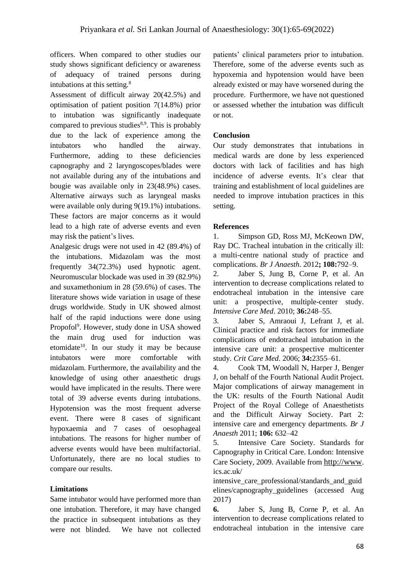officers. When compared to other studies our study shows significant deficiency or awareness of adequacy of trained persons during intubations at this setting.<sup>8</sup>

Assessment of difficult airway 20(42.5%) and optimisation of patient position 7(14.8%) prior to intubation was significantly inadequate compared to previous studies $8,9$ . This is probably due to the lack of experience among the intubators who handled the airway. Furthermore, adding to these deficiencies capnography and 2 laryngoscopes/blades were not available during any of the intubations and bougie was available only in 23(48.9%) cases. Alternative airways such as laryngeal masks were available only during 9(19.1%) intubations. These factors are major concerns as it would lead to a high rate of adverse events and even may risk the patient's lives.

Analgesic drugs were not used in 42 (89.4%) of the intubations. Midazolam was the most frequently 34(72.3%) used hypnotic agent. Neuromuscular blockade was used in 39 (82.9%) and suxamethonium in 28 (59.6%) of cases. The literature shows wide variation in usage of these drugs worldwide. Study in UK showed almost half of the rapid inductions were done using Propofol<sup>9</sup>. However, study done in USA showed the main drug used for induction was etomidate<sup>10</sup>. In our study it may be because intubators were more comfortable with midazolam. Furthermore, the availability and the knowledge of using other anaesthetic drugs would have implicated in the results. There were total of 39 adverse events during intubations. Hypotension was the most frequent adverse event. There were 8 cases of significant hypoxaemia and 7 cases of oesophageal intubations. The reasons for higher number of adverse events would have been multifactorial. Unfortunately, there are no local studies to compare our results.

## **Limitations**

Same intubator would have performed more than one intubation. Therefore, it may have changed the practice in subsequent intubations as they were not blinded. We have not collected

patients' clinical parameters prior to intubation. Therefore, some of the adverse events such as hypoxemia and hypotension would have been already existed or may have worsened during the procedure. Furthermore, we have not questioned or assessed whether the intubation was difficult or not.

## **Conclusion**

Our study demonstrates that intubations in medical wards are done by less experienced doctors with lack of facilities and has high incidence of adverse events. It's clear that training and establishment of local guidelines are needed to improve intubation practices in this setting.

#### **References**

1. Simpson GD, Ross MJ, McKeown DW, Ray DC. Tracheal intubation in the critically ill: a multi-centre national study of practice and complications. *Br J Anaesth*. 2012**; 108:**792–9.

2. Jaber S, Jung B, Corne P, et al. An intervention to decrease complications related to endotracheal intubation in the intensive care unit: a prospective, multiple-center study. *Intensive Care Med*. 2010; **36:**248–55.

3. Jaber S, Amraoui J, Lefrant J, et al. Clinical practice and risk factors for immediate complications of endotracheal intubation in the intensive care unit: a prospective multicenter study. *Crit Care Med*. 2006; **34:**2355–61.

4. Cook TM, Woodall N, Harper J, Benger J, on behalf of the Fourth National Audit Project. Major complications of airway management in the UK: results of the Fourth National Audit Project of the Royal College of Anaesthetists and the Difficult Airway Society. Part 2: intensive care and emergency departments. *Br J Anaesth* 2011; **106:** 632–42

5. Intensive Care Society. Standards for Capnography in Critical Care. London: Intensive Care Society, 2009. Available from [http://www](http://www/). ics.ac.uk/

intensive\_care\_professional/standards\_and\_guid elines/capnography\_guidelines (accessed Aug 2017)

**6.** Jaber S, Jung B, Corne P, et al. An intervention to decrease complications related to endotracheal intubation in the intensive care